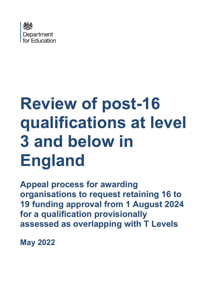

# **Review of post-16 qualifications at level 3 and below in England**

**Appeal process for awarding organisations to request retaining 16 to 19 funding approval from 1 August 2024 for a qualification provisionally assessed as overlapping with T Levels**

**May 2022**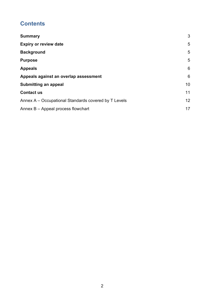# **Contents**

| <b>Summary</b>                                       | 3               |
|------------------------------------------------------|-----------------|
| <b>Expiry or review date</b>                         | 5               |
| <b>Background</b>                                    | 5               |
| <b>Purpose</b>                                       | 5               |
| <b>Appeals</b>                                       | 6               |
| Appeals against an overlap assessment                | 6               |
| <b>Submitting an appeal</b>                          | 10              |
| <b>Contact us</b>                                    | 11              |
| Annex A – Occupational Standards covered by T Levels | 12 <sup>2</sup> |
| Annex B - Appeal process flowchart                   | 17              |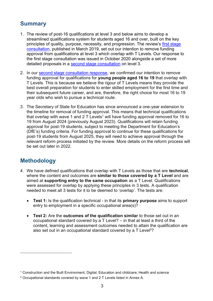# <span id="page-2-0"></span>**Summary**

- 1. The review of post-16 qualifications at level 3 and below aims to develop a streamlined qualifications system for students aged 16 and over, built on the key principles of quality, purpose, necessity, and progression. The review's first stage consultation, published in March 2019, set out our intention to remove funding approval from qualifications at level 3 which overlap with T Levels. Our response to the first stage consultation was issued in October 2020 alongside a set of more detailed proposals in a [second stage consultation](https://consult.education.gov.uk/post-16-qualifications-review-team/review-of-post-16-qualifications-at-level-3/) on level 3.
- 2. In our [second stage consultation response,](https://www.gov.uk/government/consultations/review-of-post-16-qualifications-at-level-3-and-below-in-england) we confirmed our intention to remove funding approval for qualifications for **young people aged 16 to 19** that overlap with T Levels. This is because we believe the rigour of T Levels means they provide the best overall preparation for students to enter skilled employment for the first time and their subsequent future career, and are, therefore, the right choice for most 16 to 19 year olds who wish to pursue a technical route.
- 3. The Secretary of State for Education has since announced a one-year extension to the timeline for removal of funding approval. This means that technical qualifications that overlap with wave 1 and 2 T Levels<sup>1</sup> will have funding approval removed for 16 to 19 from August 2024 (previously August 2023). Qualifications will retain funding approval for post-19 students, subject to meeting the Department for Education's (DfE's) funding criteria. For funding approval to continue for these qualifications for post-19 students from August 2025, they will need to achieve approval through the relevant reform process initiated by the review. More details on the reform process will be set out later in 2022.

## **Methodology**

- 4. We have defined qualifications that overlap with T Levels as those that are **technical**, where the content and outcomes are **similar to those covered by a T Level** and are aimed at **supporting entry to the same occupation** as a T Level. Qualifications were assessed for overlap by applying these principles in 3 tests. A qualification needed to meet all 3 tests for it to be deemed to 'overlap'. The tests are:
	- **Test 1:** Is the qualification technical in that its **primary purpose** aims to support entry to employment in a specific occupational area(s)?
	- **Test 2:** Are the **outcomes of the qualification similar** to those set out in an occupational standard covered by a T Level? – in that at least a third of the content, learning and assessment outcomes needed to attain the qualification are also set out in an occupational standard covered by a T Level<sup>2</sup>?

<sup>1</sup> Construction and the Built Environment; Digital; Education and childcare; Health and science

<sup>2</sup> Occupational standards covered by wave 1 and 2 T Levels listed in Annex A.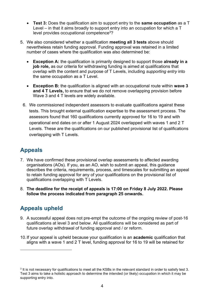- **Test 3:** Does the qualification aim to support entry to the **same occupation** as a T Level – in that it aims broadly to support entry into an occupation for which a T level provides occupational competence<sup>3</sup>?
- 5. We also considered whether a qualification **meeting all 3 tests** above should nevertheless retain funding approval. Funding approval was retained in a limited number of cases where the qualification was also determined be:
	- **Exception A:** the qualification is primarily designed to support those **already in a job role,** as our criteria for withdrawing funding is aimed at qualifications that overlap with the content and purpose of T Levels, including *supporting entry* into the same occupation as a T Level.
	- **Exception B:** the qualification is aligned with an occupational route within **wave 3 and 4 T Levels,** to ensure that we do not remove overlapping provision before Wave 3 and 4 T levels are widely available.
	- 6. We commissioned independent assessors to evaluate qualifications against these tests. This brought external qualification expertise to the assessment process. The assessors found that 160 qualifications currently approved for 16 to 19 and with operational end dates on or after 1 August 2024 overlapped with waves 1 and 2 T Levels. These are the qualifications on our published provisional list of qualifications overlapping with T Levels.

# **Appeals**

- 7. We have confirmed these provisional overlap assessments to affected awarding organisations (AOs). If you, as an AO, wish to submit an appeal, this guidance describes the criteria, requirements, process, and timescales for submitting an appeal to retain funding approval for any of your qualifications on the provisional list of qualifications overlapping with T Levels.
- 8. **The deadline for the receipt of appeals is 17:00 on Friday 8 July 2022. Please follow the process indicated from paragraph 25 onwards.**

# **Appeals upheld**

- 9. A successful appeal does not pre-empt the outcome of the ongoing review of post-16 qualifications at level 3 and below. All qualifications will be considered as part of future overlap withdrawal of funding approval and / or reform.
- 10.If your appeal is upheld because your qualification is an **academic** qualification that aligns with a wave 1 and 2 T level, funding approval for 16 to 19 will be retained for

 $3$  It is not necessary for qualifications to meet all the KSBs in the relevant standard in order to satisfy test 3. Test 3 aims to take a holistic approach to determine the intended (or likely) occupation in which it may be supporting entry into.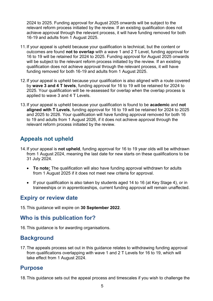2024 to 2025. Funding approval for August 2025 onwards will be subject to the relevant reform process initiated by the review. If an existing qualification does not achieve approval through the relevant process, it will have funding removed for both 16-19 and adults from 1 August 2025.

- 11.If your appeal is upheld because your qualification is technical, but the content or outcomes are found **not to overlap** with a wave 1 and 2 T Level, funding approval for 16 to 19 will be retained for 2024 to 2025. Funding approval for August 2025 onwards will be subject to the relevant reform process initiated by the review. If an existing qualification does not achieve approval through the relevant process, it will have funding removed for both 16-19 and adults from 1 August 2025.
- 12.If your appeal is upheld because your qualification is also aligned with a route covered by **wave 3 and 4 T levels**, funding approval for 16 to 19 will be retained for 2024 to 2025. Your qualification will be re-assessed for overlap when the overlap process is applied to wave 3 and 4 T Levels.
- 13.If your appeal is upheld because your qualification is found to be **academic** and **not aligned with T Levels**, funding approval for 16 to 19 will be retained for 2024 to 2025 and 2025 to 2026. Your qualification will have funding approval removed for both 16 to 19 and adults from 1 August 2026, if it does not achieve approval through the relevant reform process initiated by the review.

# **Appeals not upheld**

- 14.If your appeal is **not upheld**, funding approval for 16 to 19 year olds will be withdrawn from 1 August 2024, meaning the last date for new starts on these qualifications to be 31 July 2024.
	- **To note:** The qualification will also have funding approval withdrawn for adults from 1 August 2025 if it does not meet new criteria for approval.
	- If your qualification is also taken by students aged 14 to 16 (at Key Stage 4), or in traineeships or in apprenticeships, current funding approval will remain unaffected.

## <span id="page-4-0"></span>**Expiry or review date**

15.This guidance will expire on **30 September 2022**.

## **Who is this publication for?**

16.This guidance is for awarding organisations.

## <span id="page-4-1"></span>**Background**

17.The appeals process set out in this guidance relates to withdrawing funding approval from qualifications overlapping with wave 1 and 2 T Levels for 16 to 19, which will take effect from 1 August 2024.

## <span id="page-4-2"></span>**Purpose**

18.This guidance sets out the appeal process and timescales if you wish to challenge the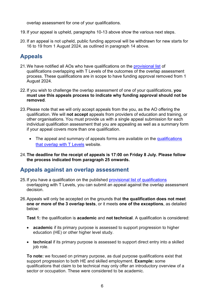overlap assessment for one of your qualifications.

- 19.If your appeal is upheld, paragraphs 10-13 above show the various next steps.
- 20. If an appeal is not upheld, public funding approval will be withdrawn for new starts for 16 to 19 from 1 August 2024, as outlined in paragraph 14 above.

# <span id="page-5-0"></span>**Appeals**

- 21. We have notified all AOs who have qualifications on the [provisional list](http://www.gov.uk/government/publications/qualifications-that-overlap-with-t-levels) of qualifications overlapping with T Levels of the outcomes of the overlap assessment process. These qualifications are in scope to have funding approval removed from 1 August 2024.
- 22.If you wish to challenge the overlap assessment of one of your qualifications, **you must use this appeals process to indicate why funding approval should not be removed**.
- 23.Please note that we will only accept appeals from the you, as the AO offering the qualification. We will **not accept** appeals from providers of education and training, or other organisations. You must provide us with a single appeal submission for each individual qualification assessment that you are appealing as well as a summary form if your appeal covers more than one qualification.
	- The appeal and summary of appeals forms are available on the [qualifications](http://www.gov.uk/government/publications/qualifications-that-overlap-with-t-levels) [that overlap with T Levels](http://www.gov.uk/government/publications/qualifications-that-overlap-with-t-levels) website.
- 24.**The deadline for the receipt of appeals is 17:00 on Friday 8 July. Please follow the process indicated from paragraph 25 onwards.**

#### <span id="page-5-1"></span>**Appeals against an overlap assessment**

- 25.If you have a qualification on the published [provisional list of qualifications](http://www.gov.uk/government/publications/qualifications-that-overlap-with-t-levels) overlapping with T Levels, you can submit an appeal against the overlap assessment decision.
- 26.Appeals will only be accepted on the grounds that **the qualification does not meet one or more of the 3 overlap tests**, or it meets **one of the exceptions**, as detailed below:

**Test 1:** the qualification is **academic** and **not technical**. A qualification is considered:

- **academic** if its primary purpose is assessed to support progression to higher education (HE) or other higher level study.
- **technical** if its primary purpose is assessed to support direct entry into a skilled job role.

**To note:** we focused on primary purpose, as dual purpose qualifications exist that support progression to both HE and skilled employment. **Example:** some qualifications that claim to be technical may only offer an introductory overview of a sector or occupation. These were considered to be academic.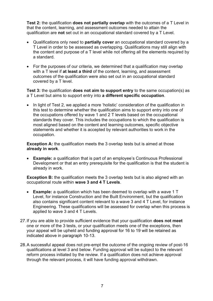**Test 2:** the qualification **does not partially overlap** with the outcomes of a T Level in that the content, learning, and assessment outcomes needed to attain the qualification are **not** set out in an occupational standard covered by a T Level.

- Qualifications only need to **partially cover** an occupational standard covered by a T Level in order to be assessed as overlapping. Qualifications may still align with the content and purpose of a T level while not offering all the elements required by a standard.
- For the purposes of our criteria, we determined that a qualification may overlap with a T level if **at least a third** of the content, learning, and assessment outcomes of the qualification were also set out in an occupational standard covered by a T level.

**Test 3:** the qualification **does not aim to support entry** to the same occupation(s) as a T Level but aims to support entry into **a different specific occupation**.

• In light of Test 2, we applied a more 'holistic' consideration of the qualification in this test to determine whether the qualification aims to support entry into one of the occupations offered by wave 1 and 2 T levels based on the occupational standards they cover. This includes the occupations to which the qualification is most aligned based on the content and learning outcomes, specific objective statements and whether it is accepted by relevant authorities to work in the occupation.

**Exception A:** the qualification meets the 3 overlap tests but is aimed at those **already in work**.

• **Example:** a qualification that is part of an employee's Continuous Professional Development or that an entry prerequisite for the qualification is that the student is already in work.

**Exception B:** the qualification meets the 3 overlap tests but is also aligned with an occupational route within **wave 3 and 4 T Levels**.

- **Example:** a qualification which has been deemed to overlap with a wave 1 T Level, for instance Construction and the Built Environment, but the qualification also contains significant content relevant to a wave 3 and 4 T Level, for instance Engineering. These qualifications will be assessed for overlap when this process is applied to wave 3 and 4 T Levels.
- 27.If you are able to provide sufficient evidence that your qualification **does not meet** one or more of the 3 tests, or your qualification meets one of the exceptions, then your appeal will be upheld and funding approval for 16 to 19 will be retained as indicated above in paragraph 10-13.
- 28.A successful appeal does not pre-empt the outcome of the ongoing review of post-16 qualifications at level 3 and below. Funding approval will be subject to the relevant reform process initiated by the review. If a qualification does not achieve approval through the relevant process, it will have funding approval withdrawn.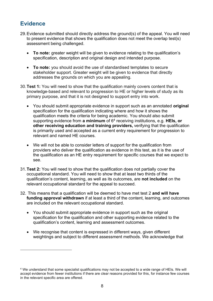# **Evidence**

- 29.Evidence submitted should directly address the ground(s) of the appeal. You will need to present evidence that shows the qualification does not meet the overlap test(s) assessment being challenged.
	- **To note:** greater weight will be given to evidence relating to the qualification's specification, description and original design and intended purpose.
	- **To note:** you should avoid the use of standardised templates to secure stakeholder support. Greater weight will be given to evidence that directly addresses the grounds on which you are appealing.
- 30.**Test 1:** You will need to show that the qualification mainly covers content that is knowledge-based and relevant to progression to HE or higher levels of study as its primary purpose, and that it is not designed to support entry into work.
	- You should submit appropriate evidence in support such as an annotated **original** specification for the qualification indicating where and how it shows the qualification meets the criteria for being academic. You should also submit supporting evidence from **a minimum** of 6<sup>4</sup> receiving institutions, e.g. HEIs, or **other receiving education and training providers,** verifying that the qualification is primarily used and accepted as a current entry requirement for progression to relevant and named HE courses.
	- We will not be able to consider letters of support for the qualification from providers who deliver the qualification as evidence in this test, as it is the use of the qualification as an HE entry requirement for specific courses that we expect to see.
- 31.**Test 2:** You will need to show that the qualification does not partially cover the occupational standard. You will need to show that at least two thirds of the qualification's content, learning, as well as its outcomes, are **not included** on the relevant occupational standard for the appeal to succeed.
- 32. This means that a qualification will be deemed to have met test 2 **and will have funding approval withdrawn** if at least a third of the content, learning, and outcomes are included on the relevant occupational standard.
	- You should submit appropriate evidence in support such as the original specification for the qualification and other supporting evidence related to the qualification's content, learning and assessment outcomes.
	- We recognise that content is expressed in different ways, given different weightings and subject to different assessment methods. We acknowledge that

<sup>4</sup> We understand that some specialist qualifications may not be accepted to a wide range of HEIs. We will accept evidence from fewer institutions if there are clear reasons provided for this, for instance few courses in the relevant specific area are offered.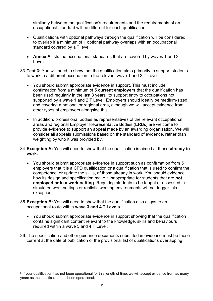similarity between the qualification's requirements and the requirements of an occupational standard will be different for each qualification.

- Qualifications with optional pathways through the qualification will be considered to overlap if a minimum of 1 optional pathway overlaps with an occupational standard covered by a T level.
- **Annex A** lists the occupational standards that are covered by waves 1 and 2 T Levels.
- 33.**Test 3:** You will need to show that the qualification aims primarily to support students to work in a different occupation to the relevant wave 1 and 2 T Level.
	- You should submit appropriate evidence in support. This must include confirmation from a minimum of 5 **current employers** that the qualification has been used regularly in the last 3 years<sup>5</sup> to support entry to occupations not supported by a wave 1 and 2 T Level. Employers should ideally be medium-sized and covering a national or regional area, although we will accept evidence from other types of employers alongside this.
	- In addition, professional bodies as representatives of the relevant occupational areas and regional Employer Representative Bodies (ERBs) are welcome to provide evidence to support an appeal made by an awarding organisation. We will consider all appeals submissions based on the standard of evidence, rather than weighting by who it was provided by.
- 34.**Exception A:** You will need to show that the qualification is aimed at those **already in work**.
	- You should submit appropriate evidence in support such as confirmation from 5 employers that it is a CPD qualification or a qualification that is used to confirm the competence, or update the skills, of those already in work. You should evidence how its design and specification make it inappropriate for students that are **not employed or in a work-setting**. Requiring students to be taught or assessed in simulated work settings or realistic working environments will not trigger this exception.
- 35.**Exception B:** You will need to show that the qualification also aligns to an occupational route within **wave 3 and 4 T Levels**.
	- You should submit appropriate evidence in support showing that the qualification contains significant content relevant to the knowledge, skills and behaviours required within a wave 3 and 4 T Level.
- 36.The specification and other guidance documents submitted in evidence must be those current at the date of publication of the provisional list of qualifications overlapping

<sup>5</sup> If your qualification has not been operational for this length of time, we will accept evidence from as many years as the qualification has been operational.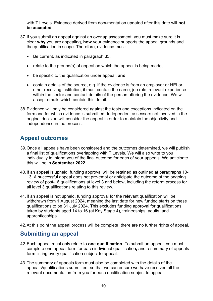with T Levels. Evidence derived from documentation updated after this date will **not be accepted.**

- 37.If you submit an appeal against an overlap assessment, you must make sure it is clear **why** you are appealing, **how** your evidence supports the appeal grounds and the qualification in scope. Therefore, evidence must:
	- Be current, as indicated in paragraph 35,
	- relate to the ground(s) of appeal on which the appeal is being made.
	- be specific to the qualification under appeal, **and**
	- contain details of the source, e.g. if the evidence is from an employer or HEI or other receiving institution, it must contain the name, job role, relevant experience within the sector and contact details of the person offering the evidence. We will accept emails which contain this detail.
- 38.Evidence will only be considered against the tests and exceptions indicated on the form and for which evidence is submitted. Independent assessors not involved in the original decision will consider the appeal in order to maintain the objectivity and independence in the process.

# **Appeal outcomes**

- 39.Once all appeals have been considered and the outcomes determined, we will publish a final [list of qualifications](https://www.gov.uk/government/publications/withdrawal-of-funding-approval-from-qualifications-with-low-and-no-publicly-funded-enrolments-for-the-funding-year-2022-to-2023) overlapping with T Levels. We will also write to you individually to inform you of the final outcome for each of your appeals. We anticipate this will be in **September 2022**.
- 40.If an appeal is upheld, funding approval will be retained as outlined at paragraphs 10- 13. A successful appeal does not pre-empt or anticipate the outcome of the ongoing review of post-16 qualifications at level 3 and below, including the reform process for all level 3 qualifications relating to this review.
- 41.If an appeal is not upheld, funding approval for the relevant qualification will be withdrawn from 1 August 2024, meaning the last date for new funded starts on these qualifications to be 31 July 2024. This excludes funding approval for qualifications taken by students aged 14 to 16 (at Key Stage 4), traineeships, adults, and apprenticeships.
- 42.At this point the appeal process will be complete; there are no further rights of appeal.

## <span id="page-9-0"></span>**Submitting an appeal**

- 42.Each appeal must only relate to **one qualification**. To submit an appeal, you must complete one appeal form for each individual qualification**,** and a summary of appeals form listing every qualification subject to appeal.
- 43.The summary of appeals form must also be completed with the details of the appeals/qualifications submitted, so that we can ensure we have received all the relevant documentation from you for each qualification subject to appeal.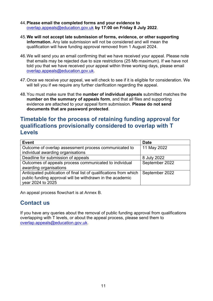- 44.**Please email the completed forms and your evidence to** [overlap.appeals@education.gov.uk](mailto:overlap.appeals@education.gov.uk) **by 17:00 on Friday 8 July 2022**.
- 45.**We will not accept late submission of forms, evidence, or other supporting information.** Any late submission will not be considered and will mean the qualification will have funding approval removed from 1 August 2024.
- 46.We will send you an email confirming that we have received your appeal. Please note that emails may be rejected due to size restrictions (25 Mb maximum). If we have not told you that we have received your appeal within three working days, please email [overlap.appeals@education.gov.uk.](mailto:overlap.appeals@education.gov.uk)
- 47.Once we receive your appeal, we will check to see if it is eligible for consideration. We will tell you if we require any further clarification regarding the appeal.
- 48.You must make sure that the **number of individual appeals** submitted matches the **number on the summary of appeals form**, and that all files and supporting evidence are attached to your appeal form submission. **Please do not send documents that are password protected**.

## **Timetable for the process of retaining funding approval for qualifications provisionally considered to overlap with T Levels**

| <b>Event</b>                                                       | <b>Date</b>    |
|--------------------------------------------------------------------|----------------|
| Outcome of overlap assessment process communicated to              | 11 May 2022    |
| individual awarding organisations                                  |                |
| Deadline for submission of appeals                                 | 8 July 2022    |
| Outcomes of appeals process communicated to individual             | September 2022 |
| awarding organisations                                             |                |
| Anticipated publication of final list of qualifications from which | September 2022 |
| public funding approval will be withdrawn in the academic          |                |
| year 2024 to 2025                                                  |                |

<span id="page-10-0"></span>An appeal process flowchart is at Annex B.

## **Contact us**

If you have any queries about the removal of public funding approval from qualifications overlapping with T levels, or about the appeal process, please send them to [overlap.appeals@education.gov.uk.](mailto:overlap.appeals@education.gov.uk)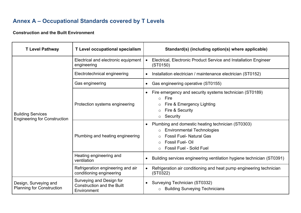# **Annex A – Occupational Standards covered by T Levels**

**Construction and the Built Environment**

<span id="page-11-0"></span>

| <b>T Level Pathway</b>                                          | T Level occupational specialism                                              | Standard(s) (including option(s) where applicable)                                                                                                                                                                                                     |
|-----------------------------------------------------------------|------------------------------------------------------------------------------|--------------------------------------------------------------------------------------------------------------------------------------------------------------------------------------------------------------------------------------------------------|
| <b>Building Services</b><br><b>Engineering for Construction</b> | Electrical and electronic equipment<br>engineering                           | Electrical, Electronic Product Service and Installation Engineer<br>$\bullet$<br>(ST0150)                                                                                                                                                              |
|                                                                 | Electrotechnical engineering                                                 | Installation electrician / maintenance electrician (ST0152)                                                                                                                                                                                            |
|                                                                 | Gas engineering                                                              | Gas engineering operative (ST0155)                                                                                                                                                                                                                     |
|                                                                 | Protection systems engineering                                               | Fire emergency and security systems technician (ST0189)<br>$\bullet$<br>Fire<br>$\circ$<br>Fire & Emergency Lighting<br>$\circ$<br>Fire & Security<br>$\circ$<br>Security<br>$\circ$<br>Plumbing and domestic heating technician (ST0303)<br>$\bullet$ |
|                                                                 | Plumbing and heating engineering                                             | <b>Environmental Technologies</b><br>$\circ$<br><b>Fossil Fuel- Natural Gas</b><br>$\bigcirc$<br><b>Fossil Fuel-Oil</b><br>$\bigcirc$<br><b>Fossil Fuel - Solid Fuel</b>                                                                               |
|                                                                 | Heating engineering and<br>ventilation                                       | Building services engineering ventilation hygiene technician (ST0391)                                                                                                                                                                                  |
|                                                                 | Refrigeration engineering and air<br>conditioning engineering                | Refrigeration air conditioning and heat pump engineering technician<br>$\bullet$<br>(ST0322)                                                                                                                                                           |
| Design, Surveying and<br><b>Planning for Construction</b>       | Surveying and Design for<br><b>Construction and the Built</b><br>Environment | Surveying Technician (ST0332)<br><b>Building Surveying Technicians</b><br>$\circ$                                                                                                                                                                      |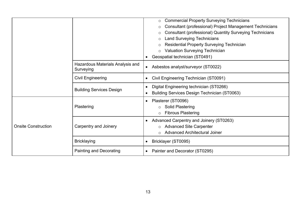|                            |                                               | <b>Commercial Property Surveying Technicians</b><br>$\circ$<br>Consultant (professional) Project Management Technicians<br><b>Consultant (professional) Quantity Surveying Technicians</b><br><b>Land Surveying Technicians</b><br><b>Residential Property Surveying Technician</b><br><b>Valuation Surveying Technician</b><br>$\circ$<br>Geospatial technician (ST0491) |
|----------------------------|-----------------------------------------------|---------------------------------------------------------------------------------------------------------------------------------------------------------------------------------------------------------------------------------------------------------------------------------------------------------------------------------------------------------------------------|
|                            | Hazardous Materials Analysis and<br>Surveying | Asbestos analyst/surveyor (ST0022)<br>$\bullet$                                                                                                                                                                                                                                                                                                                           |
|                            | <b>Civil Engineering</b>                      | Civil Engineering Technician (ST0091)                                                                                                                                                                                                                                                                                                                                     |
|                            | <b>Building Services Design</b>               | Digital Engineering technician (ST0266)<br>٠<br><b>Building Services Design Technician (ST0063)</b>                                                                                                                                                                                                                                                                       |
| <b>Onsite Construction</b> | Plastering                                    | Plasterer (ST0096)<br>$\bullet$<br>○ Solid Plastering<br><b>Fibrous Plastering</b><br>$\circ$                                                                                                                                                                                                                                                                             |
|                            | <b>Carpentry and Joinery</b>                  | <b>Advanced Carpentry and Joinery (ST0263)</b><br>$\bullet$<br>o Advanced Site Carpenter<br><b>Advanced Architectural Joiner</b>                                                                                                                                                                                                                                          |
|                            | <b>Bricklaying</b>                            | Bricklayer (ST0095)<br>$\bullet$                                                                                                                                                                                                                                                                                                                                          |
|                            | <b>Painting and Decorating</b>                | Painter and Decorator (ST0295)<br>$\bullet$                                                                                                                                                                                                                                                                                                                               |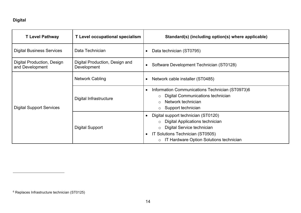## **Digital**

| <b>T Level Pathway</b>                        | T Level occupational specialism               | Standard(s) (including option(s) where applicable)                                                                                                                                                                   |
|-----------------------------------------------|-----------------------------------------------|----------------------------------------------------------------------------------------------------------------------------------------------------------------------------------------------------------------------|
| <b>Digital Business Services</b>              | Data Technician                               | Data technician (ST0795)<br>$\bullet$                                                                                                                                                                                |
| Digital Production, Design<br>and Development | Digital Production, Design and<br>Development | Software Development Technician (ST0128)                                                                                                                                                                             |
| <b>Digital Support Services</b>               | <b>Network Cabling</b>                        | Network cable installer (ST0485)<br>٠                                                                                                                                                                                |
|                                               | Digital Infrastructure                        | Information Communications Technician (ST0973)6<br>$\bullet$<br>Digital Communications technician<br>$\circ$<br>Network technician<br>$\bigcap$<br>Support technician<br>$\circ$                                     |
|                                               | <b>Digital Support</b>                        | Digital support technician (ST0120)<br><b>Digital Applications technician</b><br>Digital Service technician<br>$\circ$<br>IT Solutions Technician (ST0505)<br>$\bullet$<br>o IT Hardware Option Solutions technician |

<sup>6</sup> Replaces Infrastructure technician (ST0125)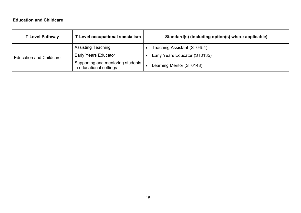#### **Education and Childcare**

| <b>T Level Pathway</b>         | T Level occupational specialism                              | Standard(s) (including option(s) where applicable) |
|--------------------------------|--------------------------------------------------------------|----------------------------------------------------|
| <b>Education and Childcare</b> | <b>Assisting Teaching</b>                                    | Teaching Assistant (ST0454)                        |
|                                | <b>Early Years Educator</b>                                  | Early Years Educator (ST0135)                      |
|                                | Supporting and mentoring students<br>in educational settings | Learning Mentor (ST0148)                           |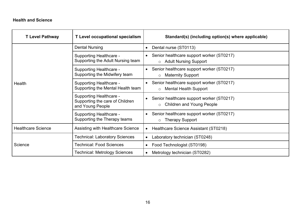#### **Health and Science**

| <b>T Level Pathway</b>    | <b>T</b> Level occupational specialism                                                | Standard(s) (including option(s) where applicable)                                                |
|---------------------------|---------------------------------------------------------------------------------------|---------------------------------------------------------------------------------------------------|
| Health                    | <b>Dental Nursing</b>                                                                 | Dental nurse (ST0113)<br>$\bullet$                                                                |
|                           | <b>Supporting Healthcare -</b><br>Supporting the Adult Nursing team                   | Senior healthcare support worker (ST0217)<br>$\bullet$<br>o Adult Nursing Support                 |
|                           | <b>Supporting Healthcare -</b><br>Supporting the Midwifery team                       | Senior healthcare support worker (ST0217)<br>$\bullet$<br><b>Maternity Support</b><br>$\circ$     |
|                           | <b>Supporting Healthcare -</b><br>Supporting the Mental Health team                   | Senior healthcare support worker (ST0217)<br>$\bullet$<br><b>Mental Health Support</b><br>$\circ$ |
|                           | <b>Supporting Healthcare -</b><br>Supporting the care of Children<br>and Young People | Senior healthcare support worker (ST0217)<br>$\bullet$<br><b>Children and Young People</b>        |
|                           | <b>Supporting Healthcare -</b><br>Supporting the Therapy teams                        | Senior healthcare support worker (ST0217)<br>$\bullet$<br><b>Therapy Support</b><br>$\circ$       |
| <b>Healthcare Science</b> | <b>Assisting with Healthcare Science</b>                                              | Healthcare Science Assistant (ST0218)<br>$\bullet$                                                |
| Science                   | <b>Technical: Laboratory Sciences</b>                                                 | Laboratory technician (ST0248)<br>$\bullet$                                                       |
|                           | <b>Technical: Food Sciences</b>                                                       | Food Technologist (ST0198)<br>$\bullet$                                                           |
|                           | <b>Technical: Metrology Sciences</b>                                                  | Metrology technician (ST0282)<br>$\bullet$                                                        |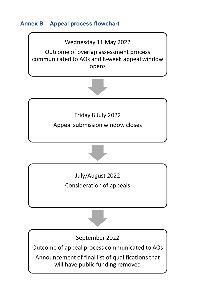<span id="page-16-0"></span>